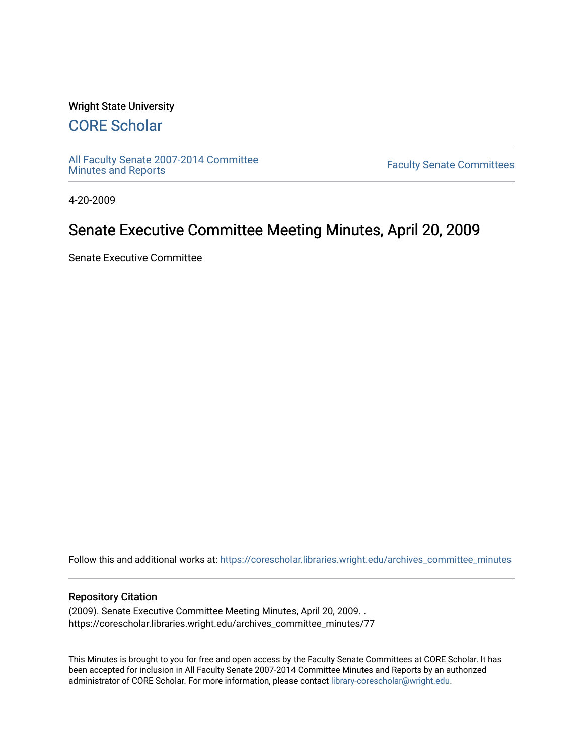#### Wright State University

## [CORE Scholar](https://corescholar.libraries.wright.edu/)

[All Faculty Senate 2007-2014 Committee](https://corescholar.libraries.wright.edu/archives_committee_minutes)

**Faculty Senate Committees** 

4-20-2009

## Senate Executive Committee Meeting Minutes, April 20, 2009

Senate Executive Committee

Follow this and additional works at: [https://corescholar.libraries.wright.edu/archives\\_committee\\_minutes](https://corescholar.libraries.wright.edu/archives_committee_minutes?utm_source=corescholar.libraries.wright.edu%2Farchives_committee_minutes%2F77&utm_medium=PDF&utm_campaign=PDFCoverPages) 

#### Repository Citation

(2009). Senate Executive Committee Meeting Minutes, April 20, 2009. . https://corescholar.libraries.wright.edu/archives\_committee\_minutes/77

This Minutes is brought to you for free and open access by the Faculty Senate Committees at CORE Scholar. It has been accepted for inclusion in All Faculty Senate 2007-2014 Committee Minutes and Reports by an authorized administrator of CORE Scholar. For more information, please contact [library-corescholar@wright.edu.](mailto:library-corescholar@wright.edu)